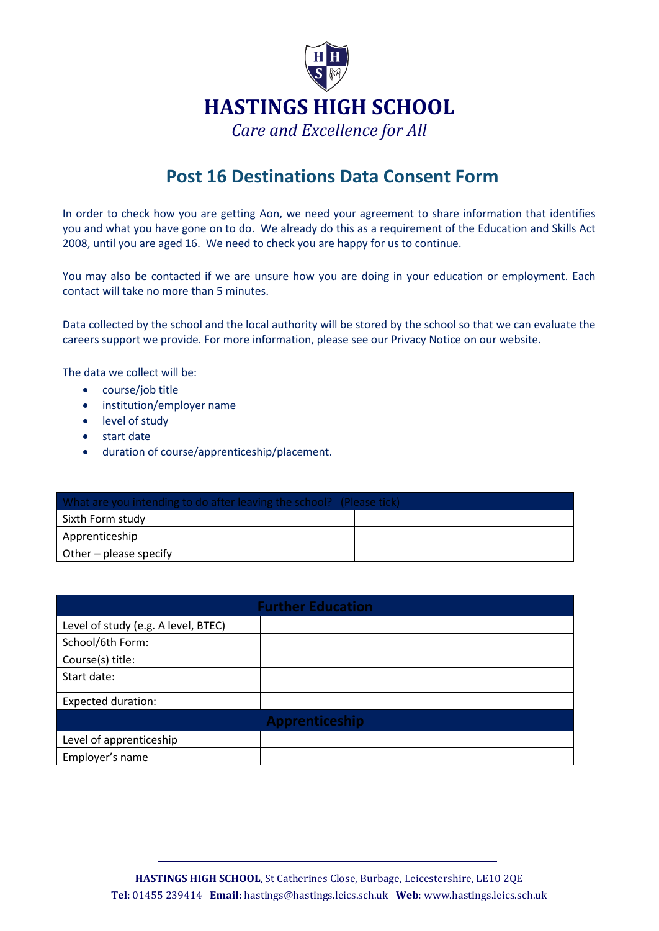

## **Post 16 Destinations Data Consent Form**

In order to check how you are getting Aon, we need your agreement to share information that identifies you and what you have gone on to do. We already do this as a requirement of the Education and Skills Act 2008, until you are aged 16. We need to check you are happy for us to continue.

You may also be contacted if we are unsure how you are doing in your education or employment. Each contact will take no more than 5 minutes.

Data collected by the school and the local authority will be stored by the school so that we can evaluate the careers support we provide. For more information, please see our Privacy Notice on our website.

The data we collect will be:

- course/job title
- institution/employer name
- **.** level of study
- start date
- duration of course/apprenticeship/placement.

| What are you intending to do after leaving the school? (Please tick) |  |
|----------------------------------------------------------------------|--|
| Sixth Form study                                                     |  |
| Apprenticeship                                                       |  |
| $\vert$ Other – please specify                                       |  |

| <b>Further Education</b>            |                |  |
|-------------------------------------|----------------|--|
| Level of study (e.g. A level, BTEC) |                |  |
| School/6th Form:                    |                |  |
| Course(s) title:                    |                |  |
| Start date:                         |                |  |
| <b>Expected duration:</b>           |                |  |
|                                     | Apprenticeship |  |
| Level of apprenticeship             |                |  |
| Employer's name                     |                |  |